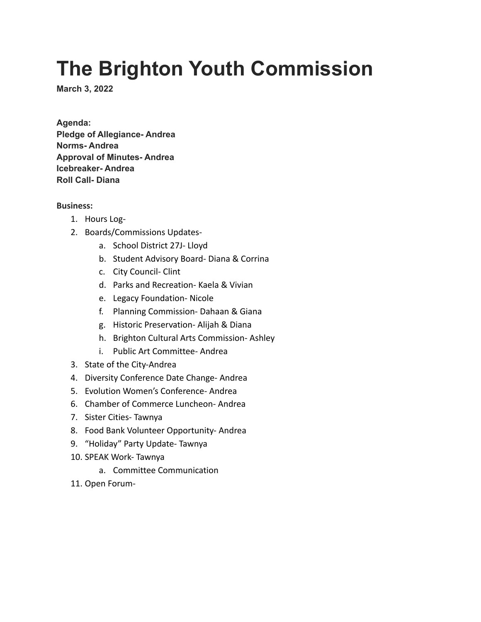## **The Brighton Youth Commission**

**March 3, 2022**

**Agenda: Pledge of Allegiance- Andrea Norms- Andrea Approval of Minutes- Andrea Icebreaker- Andrea Roll Call- Diana**

**Business:**

- 1. Hours Log-
- 2. Boards/Commissions Updates
	- a. School District 27J- Lloyd
	- b. Student Advisory Board- Diana & Corrina
	- c. City Council- Clint
	- d. Parks and Recreation- Kaela & Vivian
	- e. Legacy Foundation- Nicole
	- f. Planning Commission- Dahaan & Giana
	- g. Historic Preservation- Alijah & Diana
	- h. Brighton Cultural Arts Commission- Ashley
	- i. Public Art Committee- Andrea
- 3. State of the City-Andrea
- 4. Diversity Conference Date Change- Andrea
- 5. Evolution Women's Conference- Andrea
- 6. Chamber of Commerce Luncheon- Andrea
- 7. Sister Cities- Tawnya
- 8. Food Bank Volunteer Opportunity- Andrea
- 9. "Holiday" Party Update- Tawnya
- 10. SPEAK Work- Tawnya
	- a. Committee Communication
- 11. Open Forum-